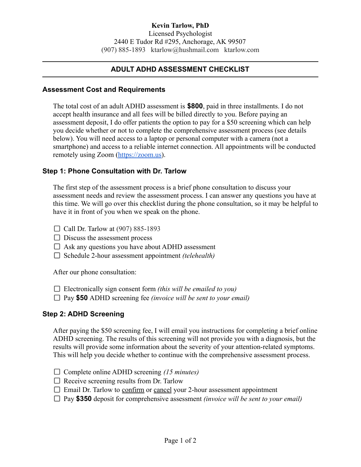## **Kevin Tarlow, PhD**

Licensed Psychologist 2440 E Tudor Rd #295, Anchorage, AK 99507 (907) 885-1893 [ktarlow@hushmail.com](mailto:ktarlow@hushmail.com) [ktarlow.com](http://ktarlow.com)

# **ADULT ADHD ASSESSMENT CHECKLIST**

#### **Assessment Cost and Requirements**

The total cost of an adult ADHD assessment is **\$800**, paid in three installments. I do not accept health insurance and all fees will be billed directly to you. Before paying an assessment deposit, I do offer patients the option to pay for a \$50 screening which can help you decide whether or not to complete the comprehensive assessment process (see details below). You will need access to a laptop or personal computer with a camera (not a smartphone) and access to a reliable internet connection. All appointments will be conducted remotely using Zoom [\(https://zoom.us\)](https://zoom.us).

#### **Step 1: Phone Consultation with Dr. Tarlow**

The first step of the assessment process is a brief phone consultation to discuss your assessment needs and review the assessment process. I can answer any questions you have at this time. We will go over this checklist during the phone consultation, so it may be helpful to have it in front of you when we speak on the phone.

- $\Box$  Call Dr. Tarlow at (907) 885-1893
- $\Box$  Discuss the assessment process
- $\Box$  Ask any questions you have about ADHD assessment
- □ Schedule 2-hour assessment appointment *(telehealth)*

After our phone consultation:

- Electronically sign consent form *(this will be emailed to you)*
- Pay **\$50** ADHD screening fee *(invoice will be sent to your email)*

#### **Step 2: ADHD Screening**

After paying the \$50 screening fee, I will email you instructions for completing a brief online ADHD screening. The results of this screening will not provide you with a diagnosis, but the results will provide some information about the severity of your attention-related symptoms. This will help you decide whether to continue with the comprehensive assessment process.

- Complete online ADHD screening *(15 minutes)*
- $\Box$  Receive screening results from Dr. Tarlow
- $\Box$  Email Dr. Tarlow to confirm or cancel your 2-hour assessment appointment
- Pay **\$350** deposit for comprehensive assessment *(invoice will be sent to your email)*